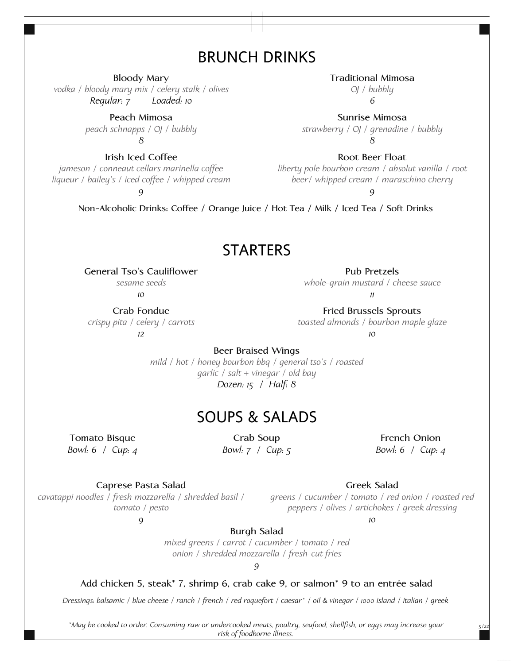# BRUNCH DRINKS

**Bloody Mary**

*vodka / bloody mary mix / celery stalk / olives Regular: 7 Loaded: 10*

> **Peach Mimosa** *peach schnapps / OJ / bubbly 8*

**Irish Iced Coffee** *jameson / conneaut cellars marinella coffee liqueur / bailey's / iced coffee / whipped cream*

*9*

### **Traditional Mimosa**

*OJ / bubbly 6*

**Sunrise Mimosa** *strawberry / OJ / grenadine / bubbly 8*

**Root Beer Float**

*liberty pole bourbon cream / absolut vanilla / root beer/ whipped cream / maraschino cherry*

*9*

**Non-Alcoholic Drinks: Coffee / Orange Juice / Hot Tea / Milk / Iced Tea / Soft Drinks**

## **STARTERS**

**General Tso's Cauliflower** *sesame seeds*

*10*

**Crab Fondue** *crispy pita / celery / carrots* *11*

**Fried Brussels Sprouts** *toasted almonds / bourbon maple glaze 10*

**Pub Pretzels** *whole-grain mustard / cheese sauce*

*12*

**Beer Braised Wings**

*mild / hot / honey bourbon bbq / general tso's / roasted garlic / salt + vinegar / old bay Dozen: 15 / Half: 8*

## SOUPS & SALADS

**Tomato Bisque** *Bowl: 6 / Cup: 4*

**Crab Soup** *Bowl: 7 / Cup: 5*

**French Onion** *Bowl: 6 / Cup: 4*

*5/22*

**Caprese Pasta Salad**

*cavatappi noodles / fresh mozzarella / shredded basil / tomato / pesto 9*

*greens / cucumber / tomato / red onion / roasted red peppers / olives / artichokes / greek dressing*

**Greek Salad**

*10*

**Burgh Salad**

*mixed greens / carrot / cucumber / tomato / red onion / shredded mozzarella / fresh-cut fries*

*9*

#### **Add chicken 5, steak\* 7, shrimp 6, crab cake 9, or salmon\* 9 to an entrée salad**

*Dressings: balsamic / blue cheese / ranch / french / red roquefort / caesar\* / oil & vinegar / 1000 island / italian / greek*

*\*May be cooked to order. Consuming raw or undercooked meats, poultry, seafood, shellfish, or eggs may increase your risk of foodborne illness.*